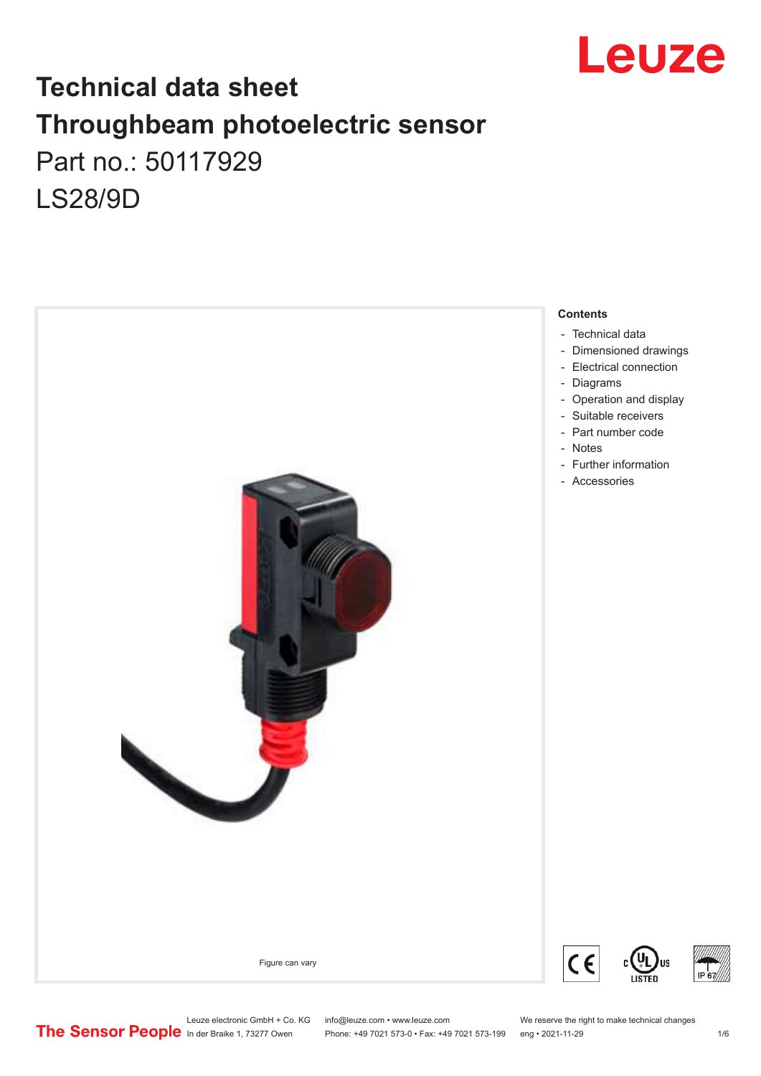

## **Technical data sheet Throughbeam photoelectric sensor**  Part no.: 50117929 LS28/9D



Leuze electronic GmbH + Co. KG info@leuze.com • www.leuze.com We reserve the right to make technical changes<br>
The Sensor People in der Braike 1, 73277 Owen Phone: +49 7021 573-0 • Fax: +49 7021 573-199 eng • 2021-11-29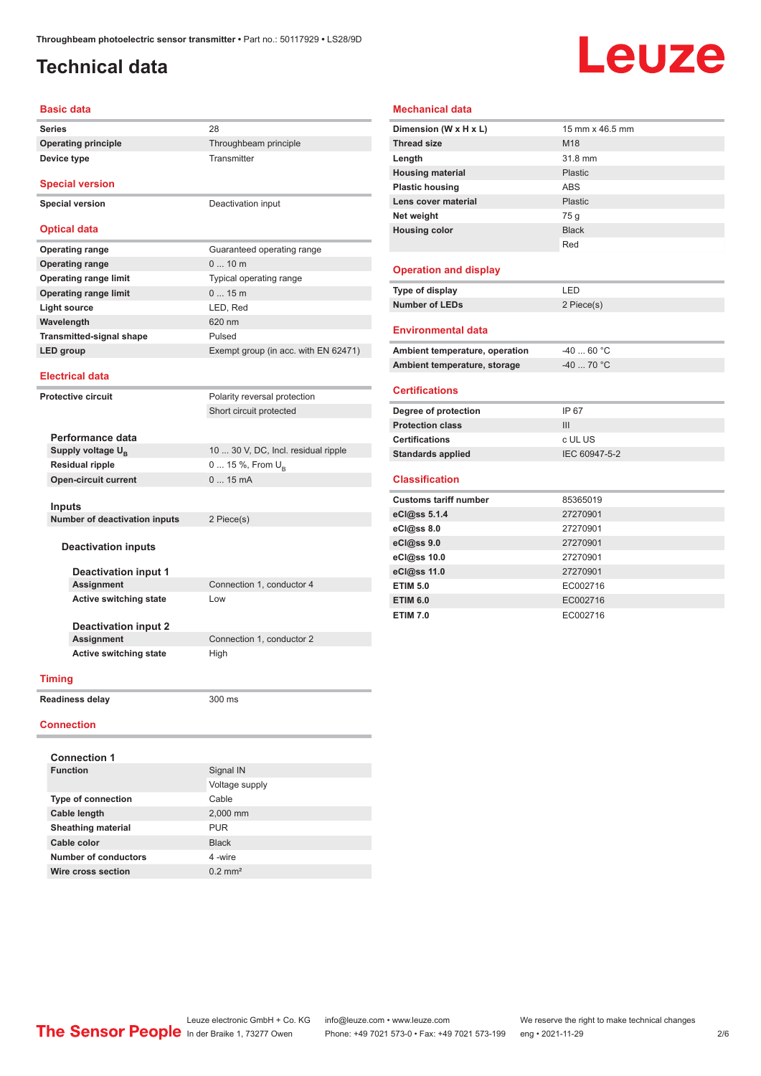## <span id="page-1-0"></span>**Technical data**

**Device type** Transmitter

# Leuze

### **Basic data**

**Series** 28 **Operating principle** Throughbeam principle

**Special version**

**Special version** Deactivation input

### **Optical data**

| <b>Operating range</b>          | Guaranteed operating range           |
|---------------------------------|--------------------------------------|
| <b>Operating range</b>          | $010$ m                              |
| <b>Operating range limit</b>    | Typical operating range              |
| <b>Operating range limit</b>    | 015m                                 |
| Light source                    | LED, Red                             |
| Wavelength                      | 620 nm                               |
| <b>Transmitted-signal shape</b> | Pulsed                               |
| LED group                       | Exempt group (in acc. with EN 62471) |
|                                 |                                      |

### **Electrical data**

**Protective circuit** 

| Polarity reversal protection |
|------------------------------|
| Short circuit protected      |

| Performance data              |                                     |
|-------------------------------|-------------------------------------|
| Supply voltage U <sub>p</sub> | 10  30 V, DC, Incl. residual ripple |
| <b>Residual ripple</b>        | $0 15 \%$ , From $U_{\rm B}$        |
| <b>Open-circuit current</b>   | $015$ mA                            |
|                               |                                     |
| Innute                        |                                     |

**Inputs Number of deactivation inputs** 2 Piece(s)

### **Deactivation inputs**

**Deactivation input 1 Active switching state** Low

Connection 1, conductor 4

**Deactivation input 2 Active switching state** High

**Connection 1, conductor 2** 

### **Timing**

**Readiness delay** 300 ms

### **Connection**

| <b>Connection 1</b>       |                       |
|---------------------------|-----------------------|
| <b>Function</b>           | Signal IN             |
|                           | Voltage supply        |
| <b>Type of connection</b> | Cable                 |
| Cable length              | 2,000 mm              |
| <b>Sheathing material</b> | <b>PUR</b>            |
| Cable color               | <b>Black</b>          |
| Number of conductors      | 4-wire                |
| Wire cross section        | $0.2$ mm <sup>2</sup> |
|                           |                       |

| <b>Mechanical data</b>         |                 |
|--------------------------------|-----------------|
| Dimension (W x H x L)          | 15 mm x 46 5 mm |
| <b>Thread size</b>             | M <sub>18</sub> |
| Length                         | 31.8 mm         |
| <b>Housing material</b>        | Plastic         |
| <b>Plastic housing</b>         | ABS             |
| Lens cover material            | Plastic         |
| Net weight                     | 75 g            |
| <b>Housing color</b>           | <b>Black</b>    |
|                                | Red             |
| <b>Operation and display</b>   |                 |
| Type of display                | LED             |
| <b>Number of LEDs</b>          | 2 Piece(s)      |
| <b>Environmental data</b>      |                 |
| Ambient temperature, operation | $-40$ 60 °C     |
| Ambient temperature, storage   | $-40$ 70 °C     |

### **Certifications**

| IP 67         |
|---------------|
| Ш             |
| c UL US       |
| IEC 60947-5-2 |
|               |

### **Classification**

| <b>Customs tariff number</b> | 85365019 |
|------------------------------|----------|
| eCl@ss 5.1.4                 | 27270901 |
| eCl@ss 8.0                   | 27270901 |
| eCl@ss 9.0                   | 27270901 |
| eCl@ss 10.0                  | 27270901 |
| eCl@ss 11.0                  | 27270901 |
| <b>ETIM 5.0</b>              | EC002716 |
| <b>ETIM 6.0</b>              | EC002716 |
| <b>ETIM 7.0</b>              | EC002716 |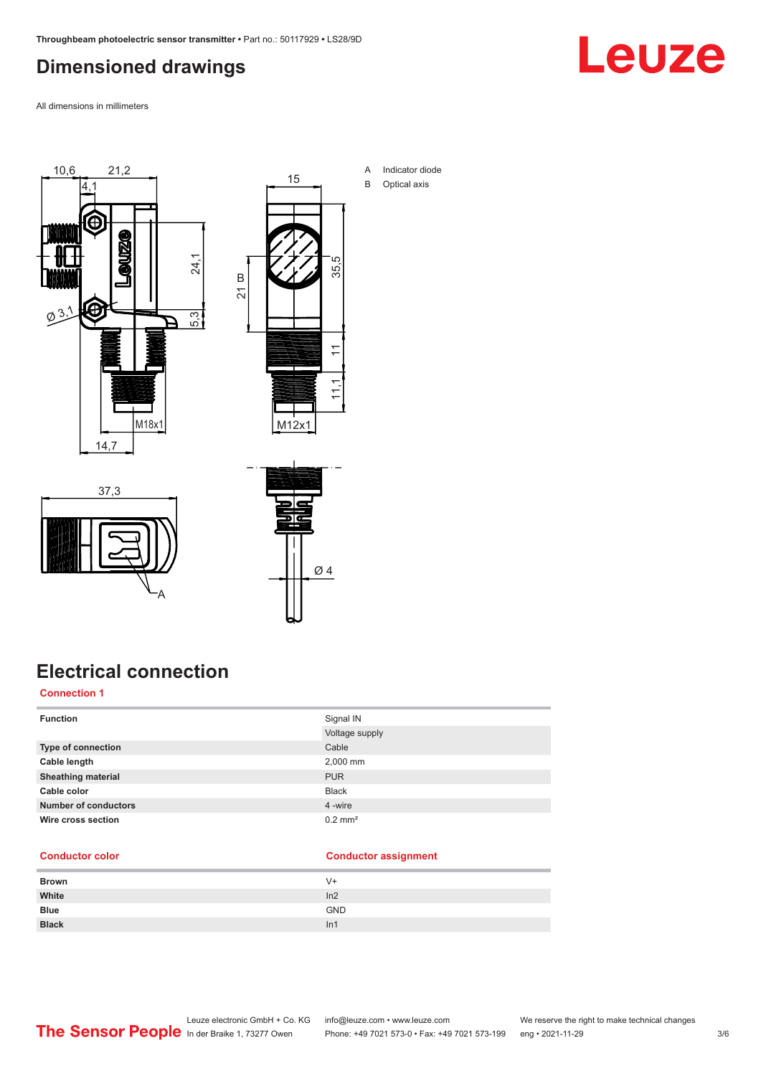## <span id="page-2-0"></span>**Dimensioned drawings**

Leuze

All dimensions in millimeters





A Indicator diode B Optical axis





## **Electrical connection**

### **Connection 1**

| <b>Function</b>             | Signal IN             |
|-----------------------------|-----------------------|
|                             | Voltage supply        |
| Type of connection          | Cable                 |
| Cable length                | 2,000 mm              |
| <b>Sheathing material</b>   | <b>PUR</b>            |
| Cable color                 | <b>Black</b>          |
| <b>Number of conductors</b> | 4 -wire               |
| Wire cross section          | $0.2$ mm <sup>2</sup> |

### **Conductor color Conductor assignment**

| <b>Brown</b> | V+              |
|--------------|-----------------|
| White        | In2             |
| <b>Blue</b>  | <b>GND</b>      |
| <b>Black</b> | ln <sub>1</sub> |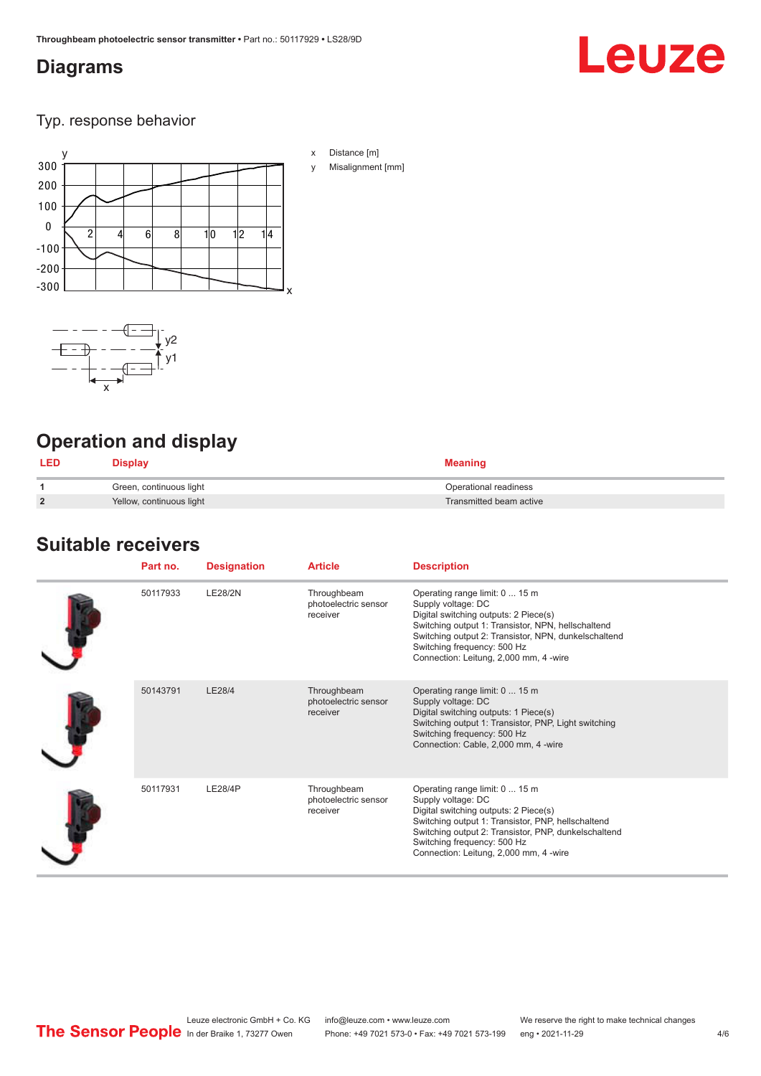## <span id="page-3-0"></span>**Diagrams**

# **Leuze**

Typ. response behavior





## **Operation and display**

| <b>LED</b>     | Display                  | <b>Meaning</b>          |
|----------------|--------------------------|-------------------------|
|                | Green, continuous light  | Operational readiness   |
| $\overline{2}$ | Yellow, continuous light | Transmitted beam active |

## **Suitable receivers**

| Part no. | <b>Designation</b> | <b>Article</b>                                  | <b>Description</b>                                                                                                                                                                                                                                                                   |
|----------|--------------------|-------------------------------------------------|--------------------------------------------------------------------------------------------------------------------------------------------------------------------------------------------------------------------------------------------------------------------------------------|
| 50117933 | <b>LE28/2N</b>     | Throughbeam<br>photoelectric sensor<br>receiver | Operating range limit: 0  15 m<br>Supply voltage: DC<br>Digital switching outputs: 2 Piece(s)<br>Switching output 1: Transistor, NPN, hellschaltend<br>Switching output 2: Transistor, NPN, dunkelschaltend<br>Switching frequency: 500 Hz<br>Connection: Leitung, 2,000 mm, 4 -wire |
| 50143791 | LE28/4             | Throughbeam<br>photoelectric sensor<br>receiver | Operating range limit: 0  15 m<br>Supply voltage: DC<br>Digital switching outputs: 1 Piece(s)<br>Switching output 1: Transistor, PNP, Light switching<br>Switching frequency: 500 Hz<br>Connection: Cable, 2,000 mm, 4 -wire                                                         |
| 50117931 | <b>LE28/4P</b>     | Throughbeam<br>photoelectric sensor<br>receiver | Operating range limit: 0  15 m<br>Supply voltage: DC<br>Digital switching outputs: 2 Piece(s)<br>Switching output 1: Transistor, PNP, hellschaltend<br>Switching output 2: Transistor, PNP, dunkelschaltend<br>Switching frequency: 500 Hz<br>Connection: Leitung, 2,000 mm, 4 -wire |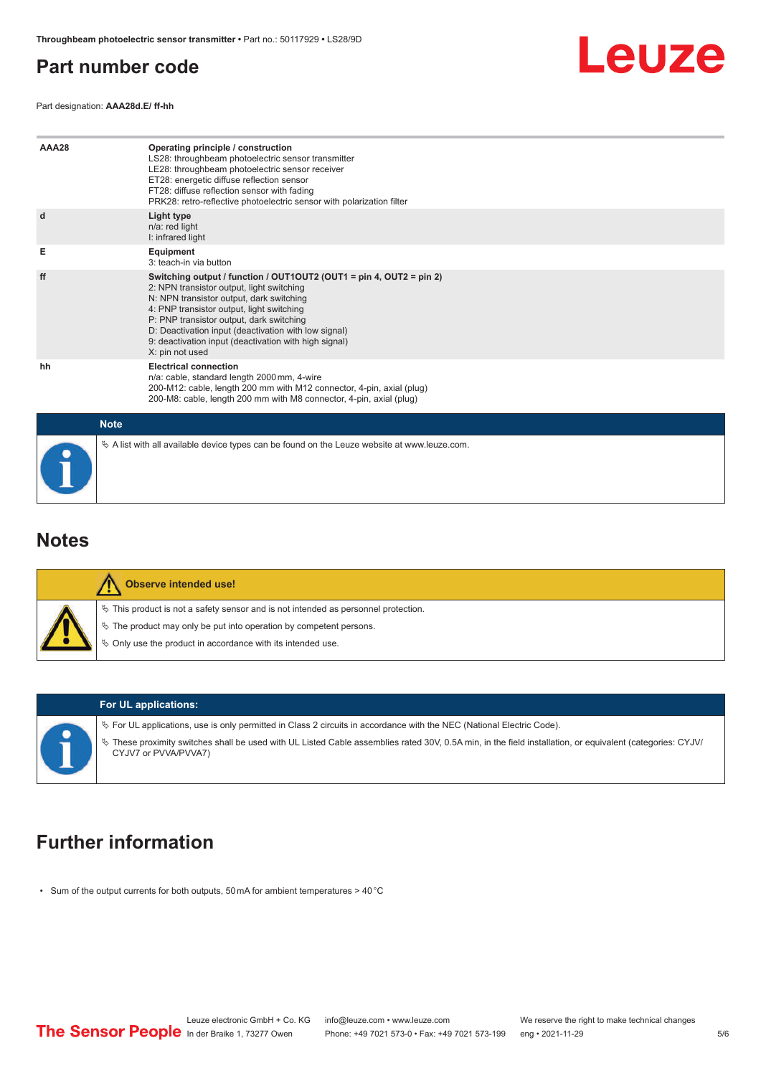### <span id="page-4-0"></span>**Part number code**

Leuze

Part designation: **AAA28d.E/ ff-hh**

| AAA28       | Operating principle / construction<br>LS28: throughbeam photoelectric sensor transmitter<br>LE28: throughbeam photoelectric sensor receiver<br>ET28: energetic diffuse reflection sensor<br>FT28: diffuse reflection sensor with fading<br>PRK28: retro-reflective photoelectric sensor with polarization filter                                                                          |
|-------------|-------------------------------------------------------------------------------------------------------------------------------------------------------------------------------------------------------------------------------------------------------------------------------------------------------------------------------------------------------------------------------------------|
| d           | Light type<br>n/a: red light<br>I: infrared light                                                                                                                                                                                                                                                                                                                                         |
| Е           | <b>Equipment</b><br>3: teach-in via button                                                                                                                                                                                                                                                                                                                                                |
| ff          | Switching output / function / OUT1OUT2 (OUT1 = pin 4, OUT2 = pin 2)<br>2: NPN transistor output, light switching<br>N: NPN transistor output, dark switching<br>4: PNP transistor output, light switching<br>P: PNP transistor output, dark switching<br>D: Deactivation input (deactivation with low signal)<br>9: deactivation input (deactivation with high signal)<br>X: pin not used |
| hh          | <b>Electrical connection</b><br>n/a: cable, standard length 2000 mm, 4-wire<br>200-M12: cable, length 200 mm with M12 connector, 4-pin, axial (plug)<br>200-M8: cable, length 200 mm with M8 connector, 4-pin, axial (plug)                                                                                                                                                               |
| <b>Note</b> |                                                                                                                                                                                                                                                                                                                                                                                           |
|             | $\&$ A list with all available device types can be found on the Leuze website at www.leuze.com.                                                                                                                                                                                                                                                                                           |

### **Notes**

| Observe intended use!                                                                                                                                                                                                         |
|-------------------------------------------------------------------------------------------------------------------------------------------------------------------------------------------------------------------------------|
| $\%$ This product is not a safety sensor and is not intended as personnel protection.<br>$\%$ The product may only be put into operation by competent persons.<br>♦ Only use the product in accordance with its intended use. |
|                                                                                                                                                                                                                               |



### **For UL applications:**

ª For UL applications, use is only permitted in Class 2 circuits in accordance with the NEC (National Electric Code).

ª These proximity switches shall be used with UL Listed Cable assemblies rated 30V, 0.5A min, in the field installation, or equivalent (categories: CYJV/ CYJV7 or PVVA/PVVA7)

## **Further information**

• Sum of the output currents for both outputs, 50 mA for ambient temperatures > 40 °C